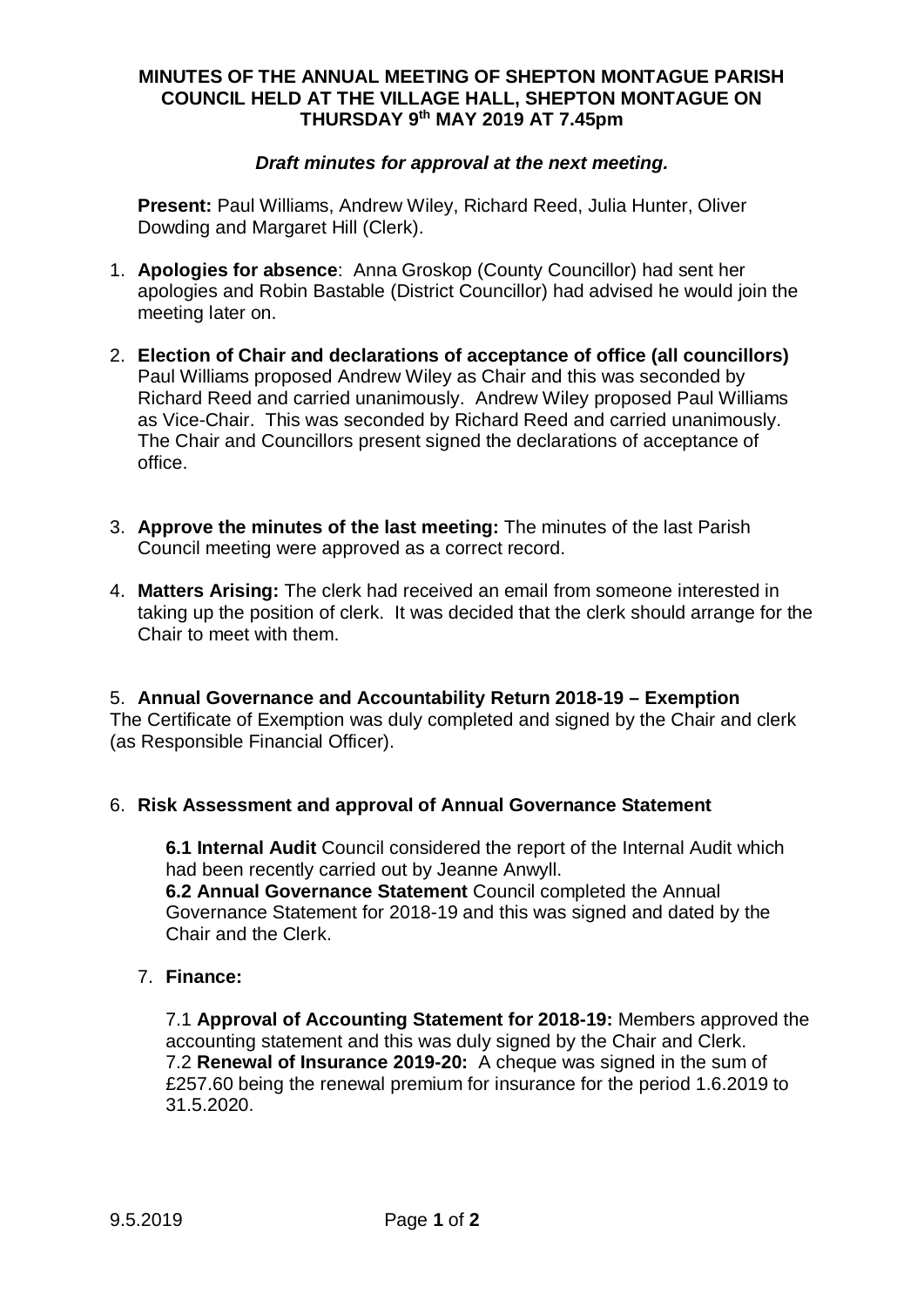### **MINUTES OF THE ANNUAL MEETING OF SHEPTON MONTAGUE PARISH COUNCIL HELD AT THE VILLAGE HALL, SHEPTON MONTAGUE ON THURSDAY 9th MAY 2019 AT 7.45pm**

### *Draft minutes for approval at the next meeting.*

**Present:** Paul Williams, Andrew Wiley, Richard Reed, Julia Hunter, Oliver Dowding and Margaret Hill (Clerk).

- 1. **Apologies for absence**: Anna Groskop (County Councillor) had sent her apologies and Robin Bastable (District Councillor) had advised he would join the meeting later on.
- 2. **Election of Chair and declarations of acceptance of office (all councillors)** Paul Williams proposed Andrew Wiley as Chair and this was seconded by Richard Reed and carried unanimously. Andrew Wiley proposed Paul Williams as Vice-Chair. This was seconded by Richard Reed and carried unanimously. The Chair and Councillors present signed the declarations of acceptance of office.
- 3. **Approve the minutes of the last meeting:** The minutes of the last Parish Council meeting were approved as a correct record.
- 4. **Matters Arising:** The clerk had received an email from someone interested in taking up the position of clerk. It was decided that the clerk should arrange for the Chair to meet with them.

5. **Annual Governance and Accountability Return 2018-19 – Exemption** The Certificate of Exemption was duly completed and signed by the Chair and clerk (as Responsible Financial Officer).

## 6. **Risk Assessment and approval of Annual Governance Statement**

**6.1 Internal Audit** Council considered the report of the Internal Audit which had been recently carried out by Jeanne Anwyll. **6.2 Annual Governance Statement** Council completed the Annual Governance Statement for 2018-19 and this was signed and dated by the Chair and the Clerk.

### 7. **Finance:**

7.1 **Approval of Accounting Statement for 2018-19:** Members approved the accounting statement and this was duly signed by the Chair and Clerk. 7.2 **Renewal of Insurance 2019-20:** A cheque was signed in the sum of £257.60 being the renewal premium for insurance for the period 1.6.2019 to 31.5.2020.